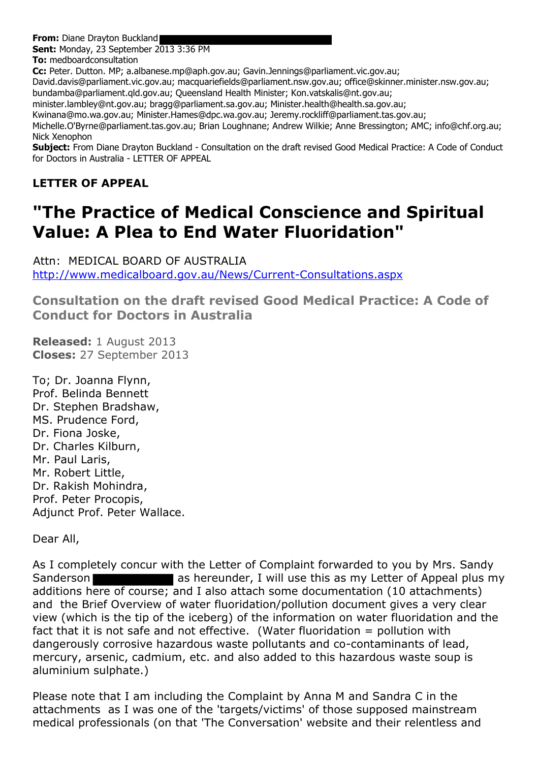**From:** Diane Drayton Buckland

**Sent:** Monday, 23 September 2013 3:36 PM

**To:** medboardconsultation

**Cc:** Peter. Dutton. MP; a.albanese.mp@aph.gov.au; Gavin.Jennings@parliament.vic.gov.au;

David.davis@parliament.vic.gov.au; macquariefields@parliament.nsw.gov.au; office@skinner.minister.nsw.gov.au; bundamba@parliament.qld.gov.au; Queensland Health Minister; Kon.vatskalis@nt.gov.au;

minister.lambley@nt.gov.au; bragg@parliament.sa.gov.au; Minister.health@health.sa.gov.au;

Kwinana@mo.wa.gov.au; Minister.Hames@dpc.wa.gov.au; Jeremy.rockliff@parliament.tas.gov.au;

Michelle.O'Byrne@parliament.tas.gov.au; Brian Loughnane; Andrew Wilkie; Anne Bressington; AMC; info@chf.org.au; Nick Xenophon

**Subject:** From Diane Drayton Buckland - Consultation on the draft revised Good Medical Practice: A Code of Conduct for Doctors in Australia - LETTER OF APPEAL

## **LETTER OF APPEAL**

## **"The Practice of Medical Conscience and Spiritual Value: A Plea to End Water Fluoridation"**

Attn: MEDICAL BOARD OF AUSTRALIA <http://www.medicalboard.gov.au/News/Current-Consultations.aspx>

**Consultation on the draft revised Good Medical Practice: A Code of Conduct for Doctors in Australia**

**Released:** 1 August 2013 **Closes:** 27 September 2013

To; Dr. Joanna Flynn, Prof. Belinda Bennett Dr. Stephen Bradshaw, MS. Prudence Ford, Dr. Fiona Joske, Dr. Charles Kilburn, Mr. Paul Laris, Mr. Robert Little, Dr. Rakish Mohindra, Prof. Peter Procopis, Adjunct Prof. Peter Wallace.

Dear All,

As I completely concur with the Letter of Complaint forwarded to you by Mrs. Sandy Sanderson **as hereunder**, I will use this as my Letter of Appeal plus my additions here of course; and I also attach some documentation (10 attachments) and the Brief Overview of water fluoridation/pollution document gives a very clear view (which is the tip of the iceberg) of the information on water fluoridation and the fact that it is not safe and not effective. (Water fluoridation  $=$  pollution with dangerously corrosive hazardous waste pollutants and co-contaminants of lead, mercury, arsenic, cadmium, etc. and also added to this hazardous waste soup is aluminium sulphate.)

Please note that I am including the Complaint by Anna M and Sandra C in the attachments as I was one of the 'targets/victims' of those supposed mainstream medical professionals (on that 'The Conversation' website and their relentless and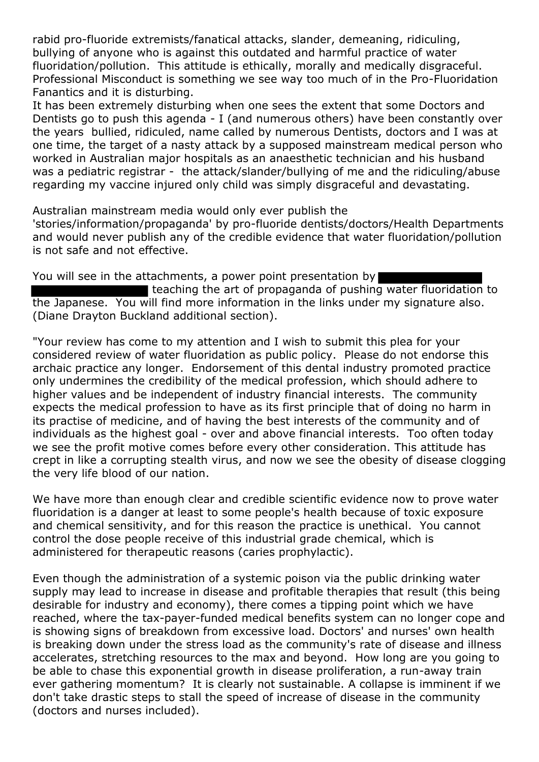rabid pro-fluoride extremists/fanatical attacks, slander, demeaning, ridiculing, bullying of anyone who is against this outdated and harmful practice of water fluoridation/pollution. This attitude is ethically, morally and medically disgraceful. Professional Misconduct is something we see way too much of in the Pro-Fluoridation Fanantics and it is disturbing.

It has been extremely disturbing when one sees the extent that some Doctors and Dentists go to push this agenda - I (and numerous others) have been constantly over the years bullied, ridiculed, name called by numerous Dentists, doctors and I was at one time, the target of a nasty attack by a supposed mainstream medical person who worked in Australian major hospitals as an anaesthetic technician and his husband was a pediatric registrar - the attack/slander/bullying of me and the ridiculing/abuse regarding my vaccine injured only child was simply disgraceful and devastating.

Australian mainstream media would only ever publish the

'stories/information/propaganda' by pro-fluoride dentists/doctors/Health Departments and would never publish any of the credible evidence that water fluoridation/pollution is not safe and not effective.

You will see in the attachments, a power point presentation by

teaching the art of propaganda of pushing water fluoridation to the Japanese. You will find more information in the links under my signature also. (Diane Drayton Buckland additional section).

"Your review has come to my attention and I wish to submit this plea for your considered review of water fluoridation as public policy. Please do not endorse this archaic practice any longer. Endorsement of this dental industry promoted practice only undermines the credibility of the medical profession, which should adhere to higher values and be independent of industry financial interests. The community expects the medical profession to have as its first principle that of doing no harm in its practise of medicine, and of having the best interests of the community and of individuals as the highest goal - over and above financial interests. Too often today we see the profit motive comes before every other consideration. This attitude has crept in like a corrupting stealth virus, and now we see the obesity of disease clogging the very life blood of our nation.

We have more than enough clear and credible scientific evidence now to prove water fluoridation is a danger at least to some people's health because of toxic exposure and chemical sensitivity, and for this reason the practice is unethical. You cannot control the dose people receive of this industrial grade chemical, which is administered for therapeutic reasons (caries prophylactic).

Even though the administration of a systemic poison via the public drinking water supply may lead to increase in disease and profitable therapies that result (this being desirable for industry and economy), there comes a tipping point which we have reached, where the tax-payer-funded medical benefits system can no longer cope and is showing signs of breakdown from excessive load. Doctors' and nurses' own health is breaking down under the stress load as the community's rate of disease and illness accelerates, stretching resources to the max and beyond. How long are you going to be able to chase this exponential growth in disease proliferation, a run-away train ever gathering momentum? It is clearly not sustainable. A collapse is imminent if we don't take drastic steps to stall the speed of increase of disease in the community (doctors and nurses included).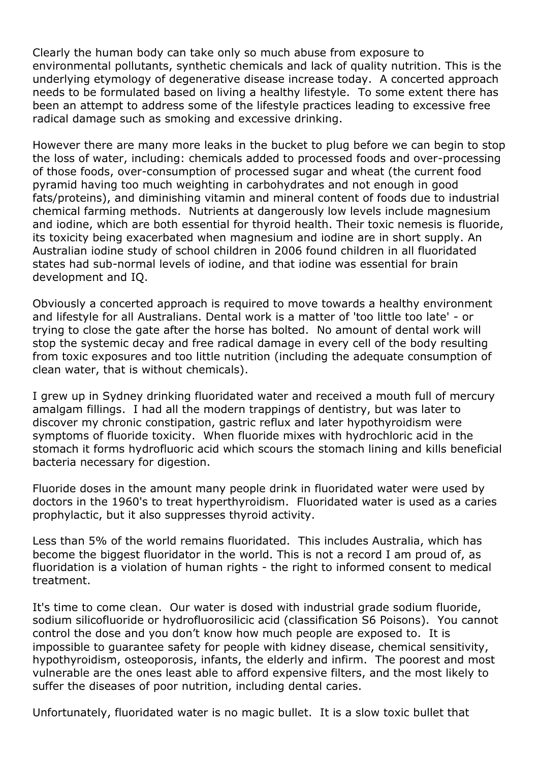Clearly the human body can take only so much abuse from exposure to environmental pollutants, synthetic chemicals and lack of quality nutrition. This is the underlying etymology of degenerative disease increase today. A concerted approach needs to be formulated based on living a healthy lifestyle. To some extent there has been an attempt to address some of the lifestyle practices leading to excessive free radical damage such as smoking and excessive drinking.

However there are many more leaks in the bucket to plug before we can begin to stop the loss of water, including: chemicals added to processed foods and over-processing of those foods, over-consumption of processed sugar and wheat (the current food pyramid having too much weighting in carbohydrates and not enough in good fats/proteins), and diminishing vitamin and mineral content of foods due to industrial chemical farming methods. Nutrients at dangerously low levels include magnesium and iodine, which are both essential for thyroid health. Their toxic nemesis is fluoride, its toxicity being exacerbated when magnesium and iodine are in short supply. An Australian iodine study of school children in 2006 found children in all fluoridated states had sub-normal levels of iodine, and that iodine was essential for brain development and IQ.

Obviously a concerted approach is required to move towards a healthy environment and lifestyle for all Australians. Dental work is a matter of 'too little too late' - or trying to close the gate after the horse has bolted. No amount of dental work will stop the systemic decay and free radical damage in every cell of the body resulting from toxic exposures and too little nutrition (including the adequate consumption of clean water, that is without chemicals).

I grew up in Sydney drinking fluoridated water and received a mouth full of mercury amalgam fillings. I had all the modern trappings of dentistry, but was later to discover my chronic constipation, gastric reflux and later hypothyroidism were symptoms of fluoride toxicity. When fluoride mixes with hydrochloric acid in the stomach it forms hydrofluoric acid which scours the stomach lining and kills beneficial bacteria necessary for digestion.

Fluoride doses in the amount many people drink in fluoridated water were used by doctors in the 1960's to treat hyperthyroidism. Fluoridated water is used as a caries prophylactic, but it also suppresses thyroid activity.

Less than 5% of the world remains fluoridated. This includes Australia, which has become the biggest fluoridator in the world. This is not a record I am proud of, as fluoridation is a violation of human rights - the right to informed consent to medical treatment.

It's time to come clean. Our water is dosed with industrial grade sodium fluoride, sodium silicofluoride or hydrofluorosilicic acid (classification S6 Poisons). You cannot control the dose and you don't know how much people are exposed to. It is impossible to guarantee safety for people with kidney disease, chemical sensitivity, hypothyroidism, osteoporosis, infants, the elderly and infirm. The poorest and most vulnerable are the ones least able to afford expensive filters, and the most likely to suffer the diseases of poor nutrition, including dental caries.

Unfortunately, fluoridated water is no magic bullet. It is a slow toxic bullet that